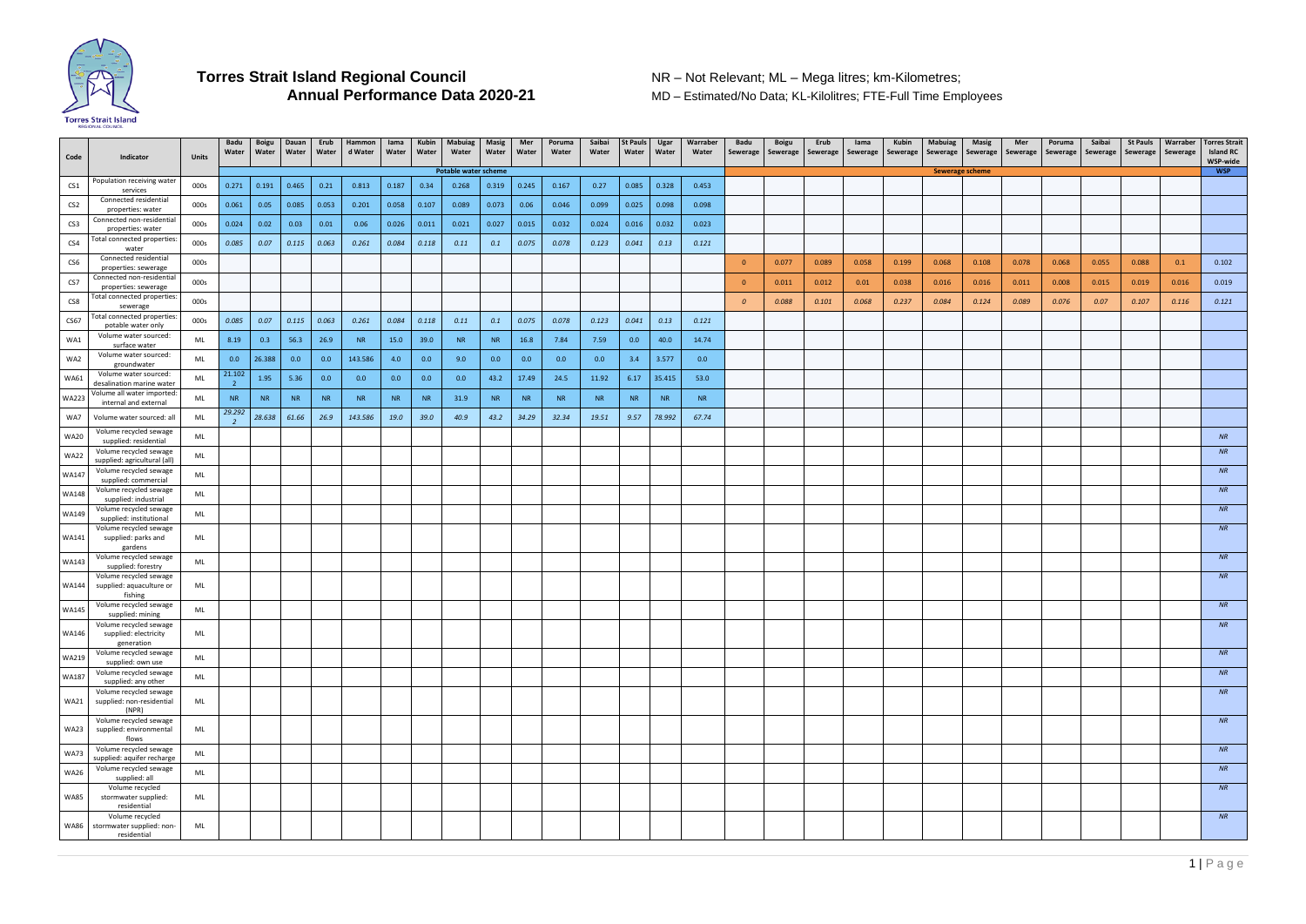

**MD – Estimated/No Data; KL-Kilolitres; FTE-Full Time Employees** 

| Code            | Indicator                                              | <b>Units</b> | Badu<br>Water | Boigu<br>Water | Dauan<br>Water | Erub<br>Water | Hammon<br>d Water | lama<br>Water | Kubin<br>Water | <b>Mabuiag</b><br>Water | Masig<br>Water | Mer<br>Water | Poruma<br>Water | Saibai<br>Water | <b>St Pauls</b><br>Water | Ugar<br>Water | Warraber<br>Water | Badu<br>Sewerage | <b>Boigu</b><br>Sewerage | Erub<br>Sewerage | lama<br>Sewerage | Kubin<br>Sewerage | Mabuiag<br>Sewerage   Sewerage | Masig | Mer<br>Sewerage | Poruma<br>Sewerage | Saibai<br>Sewerage | <b>St Pauls</b><br>Sewerage | Warraber<br>Sewerage | <b>Torres Strait</b><br><b>Island RC</b><br>WSP-wide |
|-----------------|--------------------------------------------------------|--------------|---------------|----------------|----------------|---------------|-------------------|---------------|----------------|-------------------------|----------------|--------------|-----------------|-----------------|--------------------------|---------------|-------------------|------------------|--------------------------|------------------|------------------|-------------------|--------------------------------|-------|-----------------|--------------------|--------------------|-----------------------------|----------------------|------------------------------------------------------|
|                 |                                                        |              |               |                |                |               |                   |               |                | Potable water scheme    |                |              |                 |                 |                          |               |                   |                  |                          |                  |                  |                   | <b>Sewerage scheme</b>         |       |                 |                    |                    |                             |                      | <b>WSP</b>                                           |
| CS1             | Population receiving water<br>services                 | 000s         | 0.271         | 0.191          | 0.465          | 0.21          | 0.813             | 0.187         | 0.34           | 0.268                   | 0.319          | 0.245        | 0.167           | 0.27            | 0.085                    | 0.328         | 0.453             |                  |                          |                  |                  |                   |                                |       |                 |                    |                    |                             |                      |                                                      |
| CS <sub>2</sub> | Connected residential<br>properties: water             | 000s         | 0.061         | 0.05           | 0.085          | 0.053         | 0.201             | 0.058         | 0.107          | 0.089                   | 0.073          | 0.06         | 0.046           | 0.099           | 0.025                    | 0.098         | 0.098             |                  |                          |                  |                  |                   |                                |       |                 |                    |                    |                             |                      |                                                      |
| CS <sub>3</sub> | Connected non-residentia<br>properties: water          | 000s         | 0.024         | 0.02           | 0.03           | 0.01          | 0.06              | 0.026         | 0.011          | 0.021                   | 0.027          | 0.015        | 0.032           | 0.024           | 0.016                    | 0.032         | 0.023             |                  |                          |                  |                  |                   |                                |       |                 |                    |                    |                             |                      |                                                      |
| CS4             | Total connected properties:<br>water                   | 000s         | 0.085         | 0.07           | 0.115          | 0.063         | 0.261             | 0.084         | 0.118          | 0.11                    | 0.1            | 0.075        | 0.078           | 0.123           | 0.041                    | 0.13          | 0.121             |                  |                          |                  |                  |                   |                                |       |                 |                    |                    |                             |                      |                                                      |
| CS6             | Connected residential<br>properties: sewerage          | 000s         |               |                |                |               |                   |               |                |                         |                |              |                 |                 |                          |               |                   | $\Omega$         | 0.077                    | 0.089            | 0.058            | 0.199             | 0.068                          | 0.108 | 0.078           | 0.068              | 0.055              | 0.088                       | 0.1                  | 0.102                                                |
| CS7             | Connected non-residential<br>properties: sewerage      | 000s         |               |                |                |               |                   |               |                |                         |                |              |                 |                 |                          |               |                   | $\overline{0}$   | 0.011                    | 0.012            | 0.01             | 0.038             | 0.016                          | 0.016 | 0.011           | 0.008              | 0.015              | 0.019                       | 0.016                | 0.019                                                |
| CS8             | Total connected properties:<br>sewerage                | 000s         |               |                |                |               |                   |               |                |                         |                |              |                 |                 |                          |               |                   | $\mathcal{O}$    | 0.088                    | 0.101            | 0.068            | 0.237             | 0.084                          | 0.124 | 0.089           | 0.076              | 0.07               | 0.107                       | 0.116                | 0.121                                                |
| CS67            | Total connected properties<br>potable water only       | 000s         | 0.085         | 0.07           | 0.115          | 0.063         | 0.261             | 0.084         | 0.118          | 0.11                    | 0.1            | 0.075        | 0.078           | 0.123           | 0.041                    | 0.13          | 0.121             |                  |                          |                  |                  |                   |                                |       |                 |                    |                    |                             |                      |                                                      |
| WA1             | Volume water sourced:<br>surface water                 | ML           | 8.19          | 0.3            | 56.3           | 26.9          | <b>NR</b>         | 15.0          | 39.0           | <b>NR</b>               | <b>NR</b>      | 16.8         | 7.84            | 7.59            | 0.0                      | 40.0          | 14.74             |                  |                          |                  |                  |                   |                                |       |                 |                    |                    |                             |                      |                                                      |
| WA2             | Volume water sourced:<br>groundwater                   | ML           | 0.0           | 26.388         | 0.0            | 0.0           | 143.586           | 4.0           | 0.0            | 9.0                     | 0.0            | 0.0          | 0.0             | 0.0             | 3.4                      | 3.577         | 0.0               |                  |                          |                  |                  |                   |                                |       |                 |                    |                    |                             |                      |                                                      |
| <b>WA61</b>     | Volume water sourced:<br>desalination marine water     | ML           | 21.102        | 1.95           | 5.36           | 0.0           | 0.0               | 0.0           | 0.0            | 0.0                     | 43.2           | 17.49        | 24.5            | 11.92           | 6.17                     | 35.415        | 53.0              |                  |                          |                  |                  |                   |                                |       |                 |                    |                    |                             |                      |                                                      |
| <b>WA223</b>    | Volume all water imported<br>internal and external     | ML           | <b>NR</b>     | <b>NR</b>      | <b>NR</b>      | <b>NR</b>     | <b>NR</b>         | <b>NR</b>     | <b>NR</b>      | 31.9                    | <b>NR</b>      | <b>NR</b>    | <b>NR</b>       | <b>NR</b>       | <b>NR</b>                | <b>NR</b>     | <b>NR</b>         |                  |                          |                  |                  |                   |                                |       |                 |                    |                    |                             |                      |                                                      |
| WA7             | Volume water sourced: all                              | ML           | 29.292        | 28.638         | 61.66          | 26.9          | 143.586           | 19.0          | 39.0           | 40.9                    | 43.2           | 34.29        | 32.34           | 19.51           | 9.57                     | 78.992        | 67.74             |                  |                          |                  |                  |                   |                                |       |                 |                    |                    |                             |                      |                                                      |
| <b>WA20</b>     | Volume recycled sewage<br>supplied: residential        | ML           |               |                |                |               |                   |               |                |                         |                |              |                 |                 |                          |               |                   |                  |                          |                  |                  |                   |                                |       |                 |                    |                    |                             |                      | NR                                                   |
| <b>WA22</b>     | Volume recycled sewage<br>supplied: agricultural (all) | ML           |               |                |                |               |                   |               |                |                         |                |              |                 |                 |                          |               |                   |                  |                          |                  |                  |                   |                                |       |                 |                    |                    |                             |                      | NR                                                   |
| WA147           | Volume recycled sewage<br>supplied: commercial         | ML           |               |                |                |               |                   |               |                |                         |                |              |                 |                 |                          |               |                   |                  |                          |                  |                  |                   |                                |       |                 |                    |                    |                             |                      | <b>NR</b>                                            |
| WA148           | Volume recycled sewage<br>supplied: industrial         | ML           |               |                |                |               |                   |               |                |                         |                |              |                 |                 |                          |               |                   |                  |                          |                  |                  |                   |                                |       |                 |                    |                    |                             |                      | <b>NR</b>                                            |
| <b>WA149</b>    | Volume recycled sewage<br>supplied: institutional      | ML           |               |                |                |               |                   |               |                |                         |                |              |                 |                 |                          |               |                   |                  |                          |                  |                  |                   |                                |       |                 |                    |                    |                             |                      | <b>NR</b>                                            |
| WA141           | Volume recycled sewage<br>supplied: parks and          | ML           |               |                |                |               |                   |               |                |                         |                |              |                 |                 |                          |               |                   |                  |                          |                  |                  |                   |                                |       |                 |                    |                    |                             |                      | <b>NR</b>                                            |
|                 | gardens<br>Volume recycled sewage                      |              |               |                |                |               |                   |               |                |                         |                |              |                 |                 |                          |               |                   |                  |                          |                  |                  |                   |                                |       |                 |                    |                    |                             |                      | NR                                                   |
| <b>WA143</b>    | supplied: forestry<br>Volume recycled sewage           | ML           |               |                |                |               |                   |               |                |                         |                |              |                 |                 |                          |               |                   |                  |                          |                  |                  |                   |                                |       |                 |                    |                    |                             |                      | <b>NR</b>                                            |
| <b>WA144</b>    | supplied: aquaculture or<br>fishing                    | ML           |               |                |                |               |                   |               |                |                         |                |              |                 |                 |                          |               |                   |                  |                          |                  |                  |                   |                                |       |                 |                    |                    |                             |                      |                                                      |
| <b>WA145</b>    | Volume recycled sewage<br>supplied: mining             | ML           |               |                |                |               |                   |               |                |                         |                |              |                 |                 |                          |               |                   |                  |                          |                  |                  |                   |                                |       |                 |                    |                    |                             |                      | NR                                                   |
| WA146           | Volume recycled sewage<br>supplied: electricity        | ML           |               |                |                |               |                   |               |                |                         |                |              |                 |                 |                          |               |                   |                  |                          |                  |                  |                   |                                |       |                 |                    |                    |                             |                      | NR                                                   |
|                 | generation<br>Volume recycled sewage                   |              |               |                |                |               |                   |               |                |                         |                |              |                 |                 |                          |               |                   |                  |                          |                  |                  |                   |                                |       |                 |                    |                    |                             |                      | NR                                                   |
| WA219           | supplied: own use<br>Volume recycled sewage            | ML           |               |                |                |               |                   |               |                |                         |                |              |                 |                 |                          |               |                   |                  |                          |                  |                  |                   |                                |       |                 |                    |                    |                             |                      | NR                                                   |
| <b>WA187</b>    | supplied: any other<br>Volume recycled sewage          | ML           |               |                |                |               |                   |               |                |                         |                |              |                 |                 |                          |               |                   |                  |                          |                  |                  |                   |                                |       |                 |                    |                    |                             |                      | NR                                                   |
| <b>WA21</b>     | supplied: non-residential<br>(NPR)                     | ML           |               |                |                |               |                   |               |                |                         |                |              |                 |                 |                          |               |                   |                  |                          |                  |                  |                   |                                |       |                 |                    |                    |                             |                      |                                                      |
| <b>WA23</b>     | Volume recycled sewage<br>supplied: environmental      | ML           |               |                |                |               |                   |               |                |                         |                |              |                 |                 |                          |               |                   |                  |                          |                  |                  |                   |                                |       |                 |                    |                    |                             |                      | NR                                                   |
|                 | flows<br>Volume recycled sewage                        |              |               |                |                |               |                   |               |                |                         |                |              |                 |                 |                          |               |                   |                  |                          |                  |                  |                   |                                |       |                 |                    |                    |                             |                      | NR                                                   |
| <b>WA73</b>     | supplied: aquifer recharge<br>Volume recycled sewage   | ML           |               |                |                |               |                   |               |                |                         |                |              |                 |                 |                          |               |                   |                  |                          |                  |                  |                   |                                |       |                 |                    |                    |                             |                      | <b>NR</b>                                            |
| <b>WA26</b>     | supplied: all<br>Volume recycled                       | ML           |               |                |                |               |                   |               |                |                         |                |              |                 |                 |                          |               |                   |                  |                          |                  |                  |                   |                                |       |                 |                    |                    |                             |                      | NR                                                   |
| <b>WA85</b>     | stormwater supplied:<br>residential                    | ML           |               |                |                |               |                   |               |                |                         |                |              |                 |                 |                          |               |                   |                  |                          |                  |                  |                   |                                |       |                 |                    |                    |                             |                      |                                                      |
| <b>WA86</b>     | Volume recycled<br>stormwater supplied: non-           | ML           |               |                |                |               |                   |               |                |                         |                |              |                 |                 |                          |               |                   |                  |                          |                  |                  |                   |                                |       |                 |                    |                    |                             |                      | NR                                                   |
|                 | residential                                            |              |               |                |                |               |                   |               |                |                         |                |              |                 |                 |                          |               |                   |                  |                          |                  |                  |                   |                                |       |                 |                    |                    |                             |                      |                                                      |

1 | Page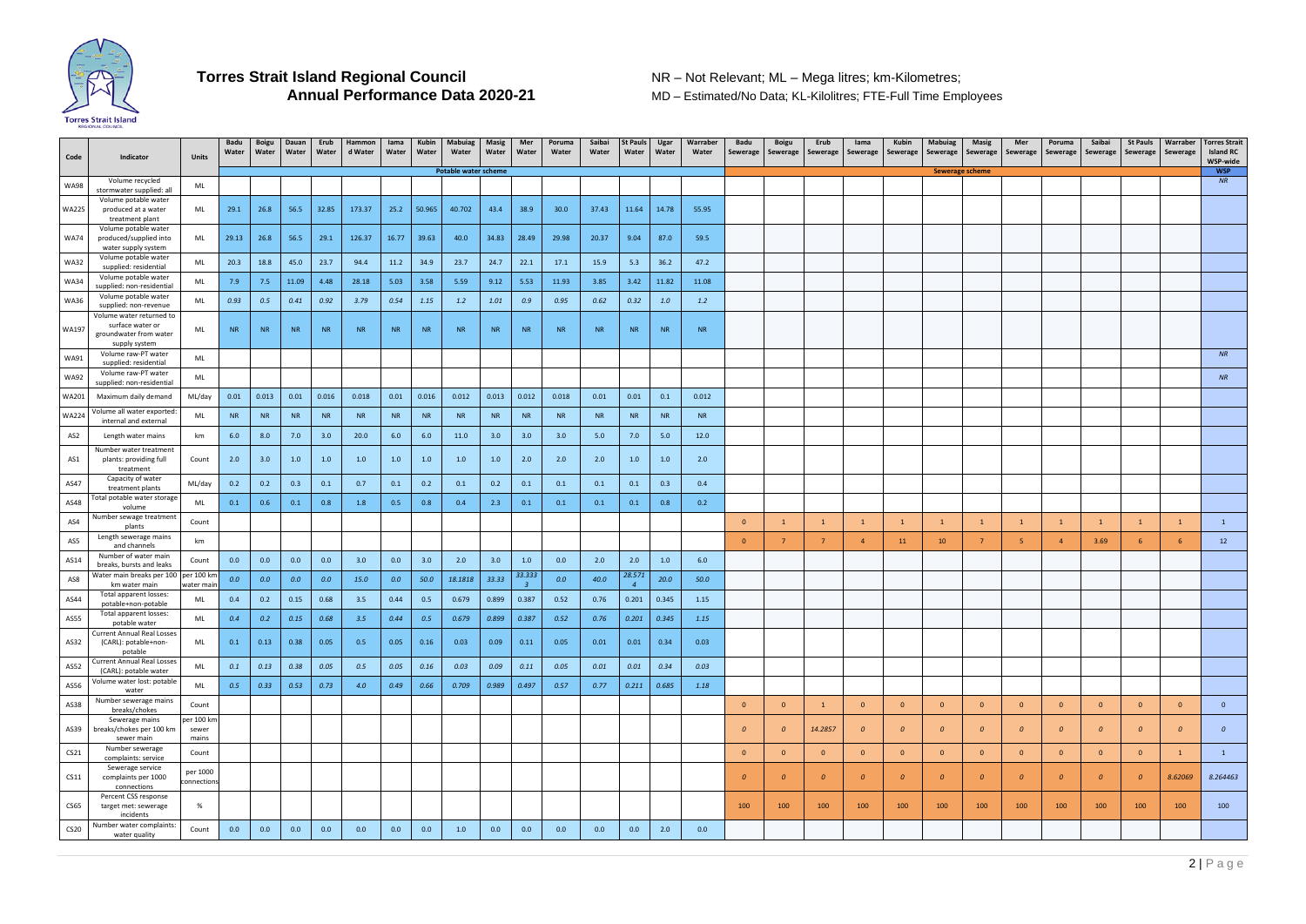

**MD – Estimated/No Data; KL-Kilolitres; FTE-Full Time Employees** 

## 2 | P a g e

| Code             | Indicator                                                             | <b>Units</b>             | <b>Badu</b><br>Water | Boigu<br>Water | Dauan<br>Water | Erub<br>Water | Hammon<br>d Water | lama<br>Water | Kubin<br>Water | <b>Mabuiag</b><br>Water     | <b>Masig</b><br>Water | Mer<br>Water | Poruma<br>Water | Saibai<br>Water | <b>St Pauls</b><br>Water | Ugar<br>Water | Warraber<br>Water | Badu<br>Sewerage | Boigu<br>Sewerage | Erub<br>Sewerage | lama<br>Sewerage | Kubin<br>Sewerage | Mabuiag<br>Sewerage    | Masig<br>Sewerage | Mer<br>Sewerage | Poruma<br>Sewerage | Saibai<br>Sewerage | <b>St Pauls</b><br>Sewerage | Warraber<br>Sewerage | <b>Torres Strait</b><br><b>Island RC</b><br>WSP-wide |
|------------------|-----------------------------------------------------------------------|--------------------------|----------------------|----------------|----------------|---------------|-------------------|---------------|----------------|-----------------------------|-----------------------|--------------|-----------------|-----------------|--------------------------|---------------|-------------------|------------------|-------------------|------------------|------------------|-------------------|------------------------|-------------------|-----------------|--------------------|--------------------|-----------------------------|----------------------|------------------------------------------------------|
|                  |                                                                       |                          |                      |                |                |               |                   |               |                | <b>Potable water scheme</b> |                       |              |                 |                 |                          |               |                   |                  |                   |                  |                  |                   | <b>Sewerage scheme</b> |                   |                 |                    |                    |                             |                      | <b>WSP</b>                                           |
| <b>WA98</b>      | Volume recycled<br>stormwater supplied: all                           | ML                       |                      |                |                |               |                   |               |                |                             |                       |              |                 |                 |                          |               |                   |                  |                   |                  |                  |                   |                        |                   |                 |                    |                    |                             |                      | <b>NR</b>                                            |
| WA225            | Volume potable water<br>produced at a water                           | ML                       | 29.1                 | 26.8           | 56.5           | 32.85         | 173.37            | 25.2          | 50.965         | 40.702                      | 43.4                  | 38.9         | 30.0            | 37.43           | 11.64                    | 14.78         | 55.95             |                  |                   |                  |                  |                   |                        |                   |                 |                    |                    |                             |                      |                                                      |
|                  | treatment plant<br>Volume potable water                               |                          |                      |                |                |               |                   |               |                |                             |                       |              |                 |                 |                          |               |                   |                  |                   |                  |                  |                   |                        |                   |                 |                    |                    |                             |                      |                                                      |
| <b>WA74</b>      | produced/supplied into<br>water supply system<br>Volume potable water | ML                       | 29.13                | 26.8           | 56.5           | 29.1          | 126.37            | 16.77         | 39.63          | 40.0                        | 34.83                 | 28.49        | 29.98           | 20.37           | 9.04                     | 87.0          | 59.5              |                  |                   |                  |                  |                   |                        |                   |                 |                    |                    |                             |                      |                                                      |
| <b>WA32</b>      | supplied: residential                                                 | ML                       | 20.3                 | 18.8           | 45.0           | 23.7          | 94.4              | 11.2          | 34.9           | 23.7                        | 24.7                  | 22.1         | 17.1            | 15.9            | 5.3                      | 36.2          | 47.2              |                  |                   |                  |                  |                   |                        |                   |                 |                    |                    |                             |                      |                                                      |
| <b>WA34</b>      | Volume potable water<br>supplied: non-residential                     | ML                       | 7.9                  | 7.5            | 11.09          | 4.48          | 28.18             | 5.03          | 3.58           | 5.59                        | 9.12                  | 5.53         | 11.93           | 3.85            | 3.42                     | 11.82         | 11.08             |                  |                   |                  |                  |                   |                        |                   |                 |                    |                    |                             |                      |                                                      |
| <b>WA36</b>      | Volume potable water<br>supplied: non-revenue                         | ML                       | 0.93                 | 0.5            | 0.41           | 0.92          | 3.79              | 0.54          | 1.15           | 1.2                         | 1.01                  | 0.9          | 0.95            | 0.62            | 0.32                     | 1.0           | 1.2               |                  |                   |                  |                  |                   |                        |                   |                 |                    |                    |                             |                      |                                                      |
|                  | Volume water returned to                                              |                          |                      |                |                |               |                   |               |                |                             |                       |              |                 |                 |                          |               |                   |                  |                   |                  |                  |                   |                        |                   |                 |                    |                    |                             |                      |                                                      |
| <b>WA197</b>     | surface water or<br>groundwater from water<br>supply system           | ML                       | <b>NR</b>            | <b>NR</b>      | <b>NR</b>      | <b>NR</b>     | <b>NR</b>         | <b>NR</b>     | <b>NR</b>      | <b>NR</b>                   | <b>NR</b>             | <b>NR</b>    | <b>NR</b>       | <b>NR</b>       | <b>NR</b>                | <b>NR</b>     | <b>NR</b>         |                  |                   |                  |                  |                   |                        |                   |                 |                    |                    |                             |                      |                                                      |
| WA91             | Volume raw-PT water<br>supplied: residential                          | ML                       |                      |                |                |               |                   |               |                |                             |                       |              |                 |                 |                          |               |                   |                  |                   |                  |                  |                   |                        |                   |                 |                    |                    |                             |                      | <b>NR</b>                                            |
| <b>WA92</b>      | Volume raw-PT water                                                   | ML                       |                      |                |                |               |                   |               |                |                             |                       |              |                 |                 |                          |               |                   |                  |                   |                  |                  |                   |                        |                   |                 |                    |                    |                             |                      | NR                                                   |
| <b>WA201</b>     | supplied: non-residential<br>Maximum daily demand                     | ML/day                   | 0.01                 | 0.013          | 0.01           | 0.016         | 0.018             | 0.01          | 0.016          | 0.012                       | 0.013                 | 0.012        | 0.018           | 0.01            | 0.01                     | 0.1           | 0.012             |                  |                   |                  |                  |                   |                        |                   |                 |                    |                    |                             |                      |                                                      |
| <b>WA224</b>     | Volume all water exported<br>internal and external                    | ML                       | <b>NR</b>            | <b>NR</b>      | <b>NR</b>      | <b>NR</b>     | <b>NR</b>         | <b>NR</b>     | <b>NR</b>      | <b>NR</b>                   | <b>NR</b>             | <b>NR</b>    | <b>NR</b>       | <b>NR</b>       | <b>NR</b>                | <b>NR</b>     | <b>NR</b>         |                  |                   |                  |                  |                   |                        |                   |                 |                    |                    |                             |                      |                                                      |
| AS <sub>2</sub>  | Length water mains                                                    | km                       | 6.0                  | 8.0            | 7.0            | 3.0           | 20.0              | 6.0           | 6.0            | 11.0                        | 3.0                   | 3.0          | 3.0             | 5.0             | 7.0                      | 5.0           | 12.0              |                  |                   |                  |                  |                   |                        |                   |                 |                    |                    |                             |                      |                                                      |
| AS1              | Number water treatment<br>plants: providing full                      | Count                    | 2.0                  | 3.0            | 1.0            | 1.0           | 1.0               | 1.0           | 1.0            | 1.0                         | 1.0                   | 2.0          | 2.0             | 2.0             | 1.0                      | 1.0           | 2.0               |                  |                   |                  |                  |                   |                        |                   |                 |                    |                    |                             |                      |                                                      |
| AS47             | treatment<br>Capacity of water                                        | ML/day                   | 0.2                  | 0.2            | 0.3            | 0.1           | 0.7               | 0.1           | 0.2            | 0.1                         | 0.2                   | 0.1          | 0.1             | 0.1             | 0.1                      | 0.3           | 0.4               |                  |                   |                  |                  |                   |                        |                   |                 |                    |                    |                             |                      |                                                      |
| AS48             | treatment plants<br>Total potable water storage<br>volume             | ML                       | 0.1                  | 0.6            | 0.1            | 0.8           | 1.8               | 0.5           | 0.8            | 0.4                         | 2.3                   | 0.1          | 0.1             | 0.1             | 0.1                      | 0.8           | 0.2               |                  |                   |                  |                  |                   |                        |                   |                 |                    |                    |                             |                      |                                                      |
| AS4              | Number sewage treatment<br>plants                                     | Count                    |                      |                |                |               |                   |               |                |                             |                       |              |                 |                 |                          |               |                   | $\overline{0}$   |                   |                  |                  | $\overline{1}$    | $\overline{1}$         | $\overline{1}$    |                 | $\overline{1}$     |                    | $\overline{1}$              |                      |                                                      |
| AS5              | Length sewerage mains<br>and channels                                 | km                       |                      |                |                |               |                   |               |                |                             |                       |              |                 |                 |                          |               |                   | $\overline{0}$   |                   | 7 <sup>7</sup>   |                  | 11                | 10                     | $\overline{7}$    | -5              | $\overline{4}$     | 3.69               | 6                           | 6                    | 12                                                   |
| AS14             | Number of water main<br>breaks, bursts and leaks                      | Count                    | 0.0                  | 0.0            | 0.0            | 0.0           | 3.0               | 0.0           | 3.0            | 2.0                         | 3.0                   | 1.0          | 0.0             | 2.0             | 2.0                      | 1.0           | 6.0               |                  |                   |                  |                  |                   |                        |                   |                 |                    |                    |                             |                      |                                                      |
| AS8              | Water main breaks per 100<br>km water main                            | per 100 km<br>water main | 0.0                  | 0.0            | 0.0            | 0.0           | 15.0              | 0.0           | 50.0           | 18.1818                     | 33.33                 | 33.333       | 0.0             | 40.0            | 28.571                   | 20.0          | 50.0              |                  |                   |                  |                  |                   |                        |                   |                 |                    |                    |                             |                      |                                                      |
| AS44             | Total apparent losses:<br>potable+non-potable                         | ML                       | 0.4                  | 0.2            | 0.15           | 0.68          | 3.5               | 0.44          | 0.5            | 0.679                       | 0.899                 | 0.387        | 0.52            | 0.76            | 0.201                    | 0.345         | 1.15              |                  |                   |                  |                  |                   |                        |                   |                 |                    |                    |                             |                      |                                                      |
| AS55             | Total apparent losses:<br>potable water                               | ML                       | 0.4                  | 0.2            | 0.15           | 0.68          | 3.5               | 0.44          | 0.5            | 0.679                       | 0.899                 | 0.387        | 0.52            | 0.76            | 0.201                    | 0.345         | 1.15              |                  |                   |                  |                  |                   |                        |                   |                 |                    |                    |                             |                      |                                                      |
| AS32             | <b>Current Annual Real Losses</b><br>(CARL): potable+non-             | ML                       | 0.1                  | 0.13           | 0.38           | 0.05          | 0.5               | 0.05          | 0.16           | 0.03                        | 0.09                  | 0.11         | 0.05            | 0.01            | 0.01                     | 0.34          | 0.03              |                  |                   |                  |                  |                   |                        |                   |                 |                    |                    |                             |                      |                                                      |
|                  | potable<br><b>Current Annual Real Losses</b>                          |                          |                      |                |                |               |                   |               |                |                             |                       |              |                 |                 |                          |               |                   |                  |                   |                  |                  |                   |                        |                   |                 |                    |                    |                             |                      |                                                      |
| AS52             | (CARL): potable water<br>Volume water lost: potable                   | ML                       | 0.1                  | 0.13           | 0.38           | 0.05          | 0.5               | 0.05          | 0.16           | 0.03                        | 0.09                  | 0.11         | 0.05            | 0.01            | 0.01                     | 0.34          | 0.03              |                  |                   |                  |                  |                   |                        |                   |                 |                    |                    |                             |                      |                                                      |
| AS56<br>AS38     | water<br>Number sewerage mains                                        | ML<br>Count              | 0.5                  | 0.33           | 0.53           | 0.73          | 4.0               | 0.49          | 0.66           | 0.709                       | 0.989                 | 0.497        | 0.57            | 0.77            | 0.211                    | 0.685         | 1.18              | $\overline{0}$   | $\overline{0}$    | $\mathbf{1}$     | $\overline{0}$   | $\overline{0}$    | $\overline{0}$         | $\overline{0}$    | $\overline{0}$  | $\overline{0}$     | $\overline{0}$     | $\overline{0}$              | $\overline{0}$       | $\overline{\mathbf{0}}$                              |
|                  | breaks/chokes<br>Sewerage mains                                       | per 100 km               |                      |                |                |               |                   |               |                |                             |                       |              |                 |                 |                          |               |                   |                  |                   |                  |                  |                   |                        |                   |                 |                    |                    |                             |                      |                                                      |
| AS39             | breaks/chokes per 100 km<br>sewer main                                | sewer<br>mains           |                      |                |                |               |                   |               |                |                             |                       |              |                 |                 |                          |               |                   | $\overline{0}$   | $\boldsymbol{o}$  | 14.2857          | $\boldsymbol{o}$ | $\overline{0}$    | $\overline{a}$         | $\boldsymbol{o}$  | $\mathcal O$    | $\overline{0}$     | $\boldsymbol{0}$   | $\mathcal{O}$               | $\overline{0}$       | $\mathcal{O}$                                        |
| CS21             | Number sewerage<br>complaints: service                                | Count                    |                      |                |                |               |                   |               |                |                             |                       |              |                 |                 |                          |               |                   | $\overline{0}$   | $\Omega$          | $\overline{0}$   | $\Omega$         | $\overline{0}$    | $\Omega$               | $\overline{0}$    | $\Omega$        | $\overline{0}$     | $\overline{0}$     | $\overline{0}$              |                      | <sup>1</sup>                                         |
| CS11             | Sewerage service<br>complaints per 1000<br>connections                | per 1000<br>connections  |                      |                |                |               |                   |               |                |                             |                       |              |                 |                 |                          |               |                   | $\overline{0}$   | $\theta$          | $\overline{0}$   | $\theta$         | $\overline{0}$    | $\theta$               | $\overline{0}$    | $\overline{0}$  | $\boldsymbol{0}$   | $\overline{0}$     | $\mathcal{O}$               | 8.62069              | 8.264463                                             |
| <b>CS65</b>      | Percent CSS response<br>target met: sewerage<br>incidents             | %                        |                      |                |                |               |                   |               |                |                             |                       |              |                 |                 |                          |               |                   | 100              | 100               | 100              | 100              | 100               | 100                    | 100               | 100             | 100                | 100                | 100                         | 100                  | 100                                                  |
| CS <sub>20</sub> | Number water complaints:<br>water quality                             | Count                    | 0.0                  | 0.0            | 0.0            | 0.0           | 0.0               | 0.0           | 0.0            | 1.0                         | 0.0                   | 0.0          | 0.0             | 0.0             | 0.0                      | 2.0           | 0.0               |                  |                   |                  |                  |                   |                        |                   |                 |                    |                    |                             |                      |                                                      |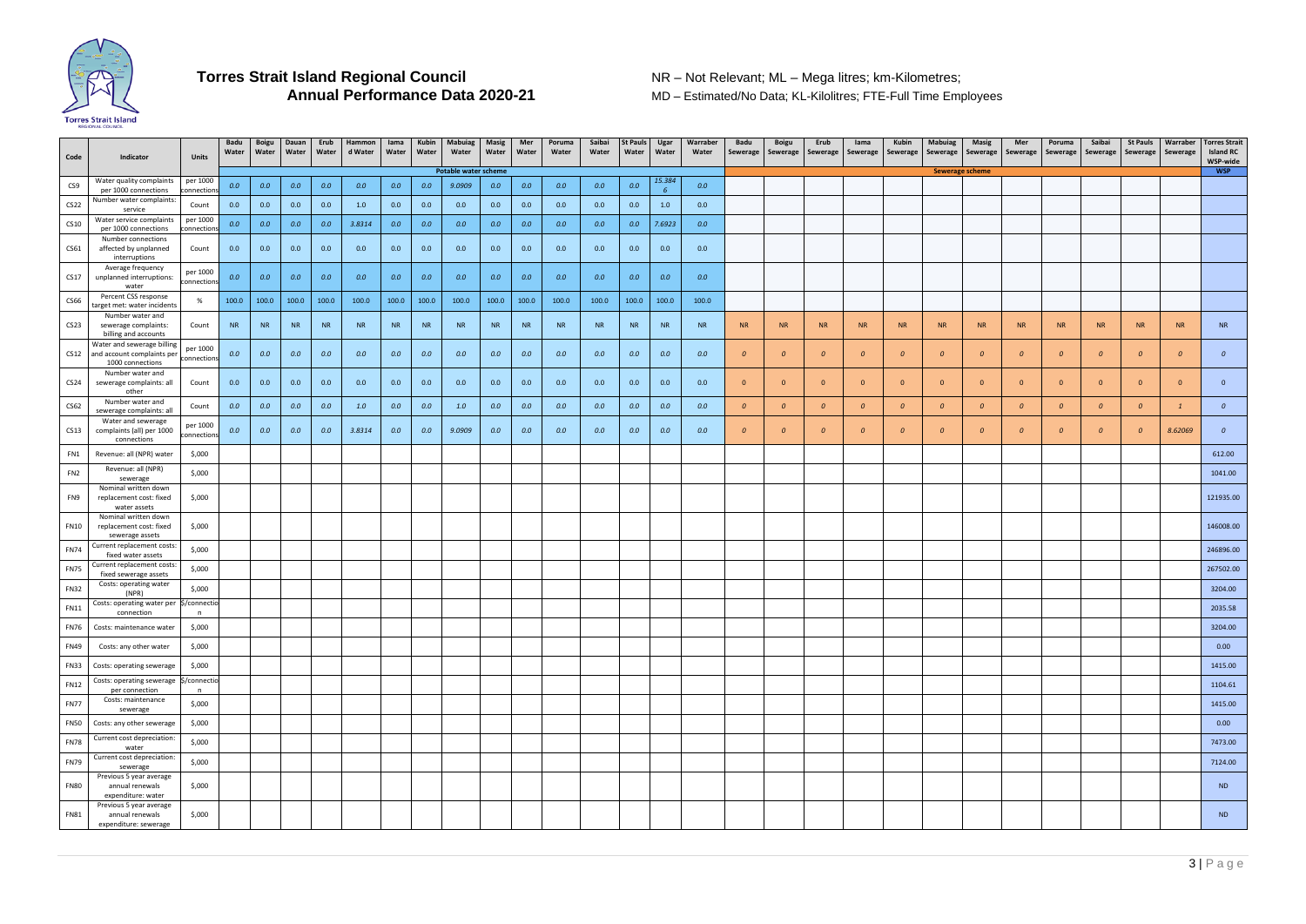

**MD – Estimated/No Data; KL-Kilolitres; FTE-Full Time Employees** 

| Code                       | Indicator                                                                | <b>Units</b>            | Badu<br>Water | Boigu<br>Water | Dauan<br>Water | Erub<br>Water | Hammon<br>d Water | lama<br>Water | Kubin<br>Water | <b>Mabuiag</b><br>Water     | Masig<br>Water | Mer<br>Water | Poruma<br>Water | Saibai<br>Water | St Pauls<br>Water | Ugar<br>Water | Warraber<br>Water | Badu<br>Sewerage | <b>Boigu</b><br>Sewerage | Erub             | lama<br>Sewerage Sewerage | Kubin<br>Sewerage | Mabuiag<br>Sewerage     | <b>Masig</b><br>Sewerage | Mer<br>Sewerage         | Poruma<br>Sewerage | Saibai<br>Sewerage | <b>St Pauls</b>  | Warraber<br>Sewerage Sewerage | <b>Torres Strait</b><br><b>Island RC</b><br>WSP-wide |
|----------------------------|--------------------------------------------------------------------------|-------------------------|---------------|----------------|----------------|---------------|-------------------|---------------|----------------|-----------------------------|----------------|--------------|-----------------|-----------------|-------------------|---------------|-------------------|------------------|--------------------------|------------------|---------------------------|-------------------|-------------------------|--------------------------|-------------------------|--------------------|--------------------|------------------|-------------------------------|------------------------------------------------------|
|                            |                                                                          |                         |               |                |                |               |                   |               |                | <b>Potable water scheme</b> |                |              |                 |                 |                   |               |                   |                  |                          |                  |                           |                   | <b>Sewerage scheme</b>  |                          |                         |                    |                    |                  |                               | <b>WSP</b>                                           |
| CS9                        | Water quality complaints<br>per 1000 connections                         | per 1000<br>:onnections | 0.0           | 0.0            | 0.0            | 0.0           | 0.0               | 0.0           | 0.0            | 9.0909                      | 0.0            | 0.0          | 0.0             | 0.0             | 0.0               | 15.384        | 0.0               |                  |                          |                  |                           |                   |                         |                          |                         |                    |                    |                  |                               |                                                      |
| <b>CS22</b>                | Number water complaints:<br>service                                      | Count                   | 0.0           | 0.0            | 0.0            | 0.0           | 1.0               | 0.0           | 0.0            | 0.0                         | 0.0            | 0.0          | 0.0             | 0.0             | 0.0               | 1.0           | 0.0               |                  |                          |                  |                           |                   |                         |                          |                         |                    |                    |                  |                               |                                                      |
| CS10                       | Water service complaints                                                 | per 1000                | 0.0           | 0.0            | 0.0            | 0.0           | 3.8314            | 0.0           | 0.0            | 0.0                         | 0.0            | 0.0          | 0.0             | 0.0             | 0.0               | 7.6923        | 0.0               |                  |                          |                  |                           |                   |                         |                          |                         |                    |                    |                  |                               |                                                      |
|                            | per 1000 connections<br>Number connections                               | :onnections             |               |                |                |               |                   |               |                |                             |                |              |                 |                 |                   |               |                   |                  |                          |                  |                           |                   |                         |                          |                         |                    |                    |                  |                               |                                                      |
| CS61                       | affected by unplanned<br>interruptions                                   | Count                   | 0.0           | 0.0            | 0.0            | 0.0           | 0.0               | 0.0           | 0.0            | 0.0                         | 0.0            | 0.0          | 0.0             | 0.0             | 0.0               | 0.0           | 0.0               |                  |                          |                  |                           |                   |                         |                          |                         |                    |                    |                  |                               |                                                      |
| CS17                       | Average frequency<br>unplanned interruptions:                            | per 1000<br>connections | 0.0           | 0.0            | 0.0            | 0.0           | 0.0               | 0.0           | 0.0            | 0.0                         | 0.0            | 0.0          | 0.0             | 0.0             | 0.0               | 0.0           | 0.0               |                  |                          |                  |                           |                   |                         |                          |                         |                    |                    |                  |                               |                                                      |
| <b>CS66</b>                | water<br>Percent CSS response<br>target met: water incidents             |                         | 100.0         | 100.0          | 100.0          | 100.0         | 100.0             | 100.0         | 100.0          | 100.0                       | 100.0          | 100.0        | 100.0           | 100.0           | 100.0             | 100.0         | 100.0             |                  |                          |                  |                           |                   |                         |                          |                         |                    |                    |                  |                               |                                                      |
| CS <sub>23</sub>           | Number water and<br>sewerage complaints:                                 | Count                   | <b>NR</b>     | <b>NR</b>      | <b>NR</b>      | <b>NR</b>     | <b>NR</b>         | <b>NR</b>     | <b>NR</b>      | <b>NR</b>                   | <b>NR</b>      | <b>NR</b>    | <b>NR</b>       | <b>NR</b>       | <b>NR</b>         | <b>NR</b>     | <b>NR</b>         | <b>NR</b>        | <b>NR</b>                | <b>NR</b>        | <b>NR</b>                 | <b>NR</b>         | <b>NR</b>               | <b>NR</b>                | <b>NR</b>               | <b>NR</b>          | <b>NR</b>          | <b>NR</b>        | <b>NR</b>                     | <b>NR</b>                                            |
|                            | billing and accounts<br>Water and sewerage billing                       | per 1000                |               |                |                |               |                   |               |                |                             |                |              |                 |                 |                   |               |                   |                  |                          |                  |                           |                   |                         |                          |                         |                    |                    |                  |                               |                                                      |
| CS12                       | and account complaints per<br>1000 connections<br>Number water and       | connections             | 0.0           | 0.0            | 0.0            | 0.0           | 0.0               | 0.0           | 0.0            | 0.0                         | 0.0            | 0.0          | 0.0             | 0.0             | 0.0               | 0.0           | 0.0               | $\mathcal{O}$    | $\mathcal{O}$            | $\boldsymbol{0}$ | $\Omega$                  | $\overline{0}$    | $\overline{a}$          | $\boldsymbol{o}$         | $\mathcal O$            | $\boldsymbol{o}$   | $\theta$           | $\boldsymbol{o}$ | $\overline{0}$                | 0                                                    |
| CS <sub>24</sub>           | sewerage complaints: all<br>other                                        | Count                   | 0.0           | 0.0            | 0.0            | 0.0           | 0.0               | 0.0           | 0.0            | 0.0                         | 0.0            | 0.0          | 0.0             | 0.0             | 0.0               | 0.0           | 0.0               | $\overline{0}$   | $\overline{0}$           | $\overline{0}$   | $\overline{0}$            | $\overline{0}$    | $\overline{\mathbf{0}}$ | $\overline{0}$           | $\overline{\mathbf{0}}$ | $\overline{0}$     | $\overline{0}$     | $\overline{0}$   | $\overline{0}$                | $\mathbf{0}$                                         |
| CS62                       | Number water and<br>sewerage complaints: all                             | Count                   | 0.0           | 0.0            | 0.0            | 0.0           | 1.0               | 0.0           | 0.0            | 1.0                         | 0.0            | 0.0          | 0.0             | 0.0             | 0.0               | 0.0           | 0.0               | $\mathcal{O}$    | $\mathcal{O}$            | $\boldsymbol{o}$ | $\Omega$                  | $\mathcal{O}$     | $\overline{a}$          | $\mathcal{O}$            | $\boldsymbol{o}$        | $\mathcal{O}$      | $\boldsymbol{o}$   | $\boldsymbol{o}$ |                               | $\boldsymbol{o}$                                     |
| CS13                       | Water and sewerage<br>complaints (all) per 1000<br>connections           | per 1000<br>connections | 0.0           | 0.0            | 0.0            | 0.0           | 3.8314            | 0.0           | 0.0            | 9.0909                      | 0.0            | 0.0          | 0.0             | 0.0             | 0.0               | 0.0           | 0.0               | $\overline{0}$   | $\Omega$                 | $\overline{0}$   | $\Omega$                  | $\overline{0}$    | $\Omega$                | $\boldsymbol{o}$         | $\theta$                | $\mathcal{O}$      | $\overline{0}$     | $\boldsymbol{0}$ | 8.62069                       | $\boldsymbol{o}$                                     |
| FN1                        | Revenue: all (NPR) water                                                 | \$,000                  |               |                |                |               |                   |               |                |                             |                |              |                 |                 |                   |               |                   |                  |                          |                  |                           |                   |                         |                          |                         |                    |                    |                  |                               | 612.00                                               |
| FN <sub>2</sub>            | Revenue: all (NPR)                                                       | \$,000                  |               |                |                |               |                   |               |                |                             |                |              |                 |                 |                   |               |                   |                  |                          |                  |                           |                   |                         |                          |                         |                    |                    |                  |                               | 1041.00                                              |
| FN9                        | sewerage<br>Nominal written down<br>replacement cost: fixed              | \$,000                  |               |                |                |               |                   |               |                |                             |                |              |                 |                 |                   |               |                   |                  |                          |                  |                           |                   |                         |                          |                         |                    |                    |                  |                               | 121935.00                                            |
|                            | water assets<br>Nominal written down                                     |                         |               |                |                |               |                   |               |                |                             |                |              |                 |                 |                   |               |                   |                  |                          |                  |                           |                   |                         |                          |                         |                    |                    |                  |                               |                                                      |
| <b>FN10</b>                | replacement cost: fixed<br>sewerage assets<br>Current replacement costs: | \$,000                  |               |                |                |               |                   |               |                |                             |                |              |                 |                 |                   |               |                   |                  |                          |                  |                           |                   |                         |                          |                         |                    |                    |                  |                               | 146008.00                                            |
| <b>FN74</b>                | fixed water assets<br>Current replacement costs:                         | \$,000                  |               |                |                |               |                   |               |                |                             |                |              |                 |                 |                   |               |                   |                  |                          |                  |                           |                   |                         |                          |                         |                    |                    |                  |                               | 246896.00                                            |
| <b>FN75</b><br><b>FN32</b> | fixed sewerage assets<br>Costs: operating water                          | \$,000<br>\$,000        |               |                |                |               |                   |               |                |                             |                |              |                 |                 |                   |               |                   |                  |                          |                  |                           |                   |                         |                          |                         |                    |                    |                  |                               | 267502.00<br>3204.00                                 |
| <b>FN11</b>                | (NPR)<br>Costs: operating water per                                      | \$/connectio            |               |                |                |               |                   |               |                |                             |                |              |                 |                 |                   |               |                   |                  |                          |                  |                           |                   |                         |                          |                         |                    |                    |                  |                               | 2035.58                                              |
| <b>FN76</b>                | connection<br>Costs: maintenance water                                   | n<br>\$,000             |               |                |                |               |                   |               |                |                             |                |              |                 |                 |                   |               |                   |                  |                          |                  |                           |                   |                         |                          |                         |                    |                    |                  |                               | 3204.00                                              |
| <b>FN49</b>                | Costs: any other water                                                   | \$,000                  |               |                |                |               |                   |               |                |                             |                |              |                 |                 |                   |               |                   |                  |                          |                  |                           |                   |                         |                          |                         |                    |                    |                  |                               | 0.00                                                 |
| <b>FN33</b>                | Costs: operating sewerage                                                | \$,000                  |               |                |                |               |                   |               |                |                             |                |              |                 |                 |                   |               |                   |                  |                          |                  |                           |                   |                         |                          |                         |                    |                    |                  |                               | 1415.00                                              |
| <b>FN12</b>                | Costs: operating sewerage<br>per connection<br>Costs: maintenance        | \$/connectio<br>n       |               |                |                |               |                   |               |                |                             |                |              |                 |                 |                   |               |                   |                  |                          |                  |                           |                   |                         |                          |                         |                    |                    |                  |                               | 1104.61                                              |
| <b>FN77</b>                | sewerage                                                                 | \$,000                  |               |                |                |               |                   |               |                |                             |                |              |                 |                 |                   |               |                   |                  |                          |                  |                           |                   |                         |                          |                         |                    |                    |                  |                               | 1415.00                                              |
| <b>FN50</b>                | Costs: any other sewerage                                                | \$,000                  |               |                |                |               |                   |               |                |                             |                |              |                 |                 |                   |               |                   |                  |                          |                  |                           |                   |                         |                          |                         |                    |                    |                  |                               | 0.00                                                 |
| <b>FN78</b>                | Current cost depreciation:<br>water                                      | \$,000                  |               |                |                |               |                   |               |                |                             |                |              |                 |                 |                   |               |                   |                  |                          |                  |                           |                   |                         |                          |                         |                    |                    |                  |                               | 7473.00                                              |
| <b>FN79</b>                | Current cost depreciation:<br>sewerage                                   | \$,000                  |               |                |                |               |                   |               |                |                             |                |              |                 |                 |                   |               |                   |                  |                          |                  |                           |                   |                         |                          |                         |                    |                    |                  |                               | 7124.00                                              |
| <b>FN80</b>                | Previous 5 year average<br>annual renewals<br>expenditure: water         | \$,000                  |               |                |                |               |                   |               |                |                             |                |              |                 |                 |                   |               |                   |                  |                          |                  |                           |                   |                         |                          |                         |                    |                    |                  |                               | <b>ND</b>                                            |
| <b>FN81</b>                | Previous 5 year average<br>annual renewals                               | \$,000                  |               |                |                |               |                   |               |                |                             |                |              |                 |                 |                   |               |                   |                  |                          |                  |                           |                   |                         |                          |                         |                    |                    |                  |                               | <b>ND</b>                                            |
|                            | expenditure: sewerage                                                    |                         |               |                |                |               |                   |               |                |                             |                |              |                 |                 |                   |               |                   |                  |                          |                  |                           |                   |                         |                          |                         |                    |                    |                  |                               |                                                      |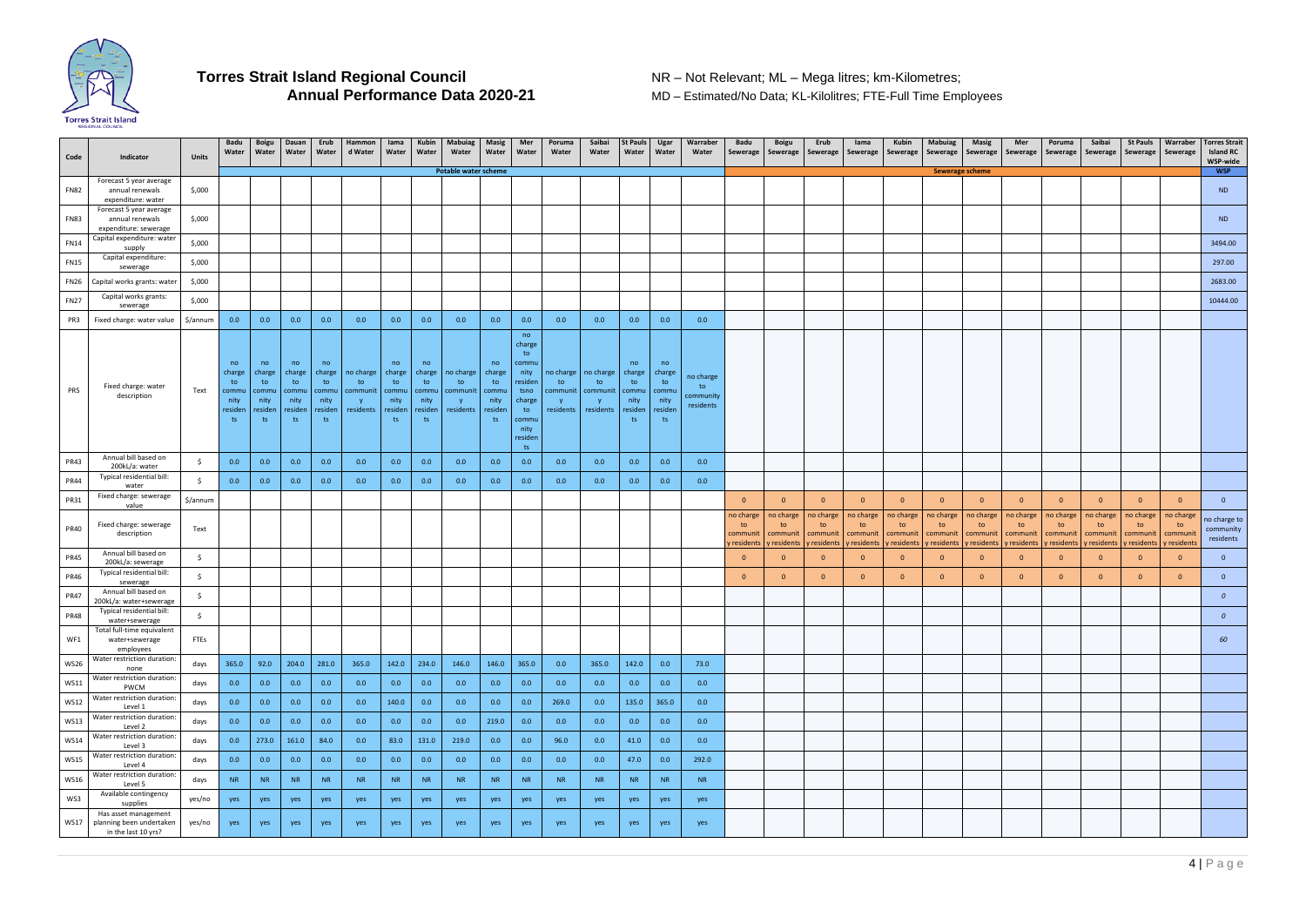

**MD – Estimated/No Data; KL-Kilolitres; FTE-Full Time Employees** 

| Code        | Indicator                                                                      | <b>Units</b> | Badu<br>Water                                        | <b>Boigu</b><br>Water                                 | Dauan<br>Water                                       | Erub<br>Water                                        | Hammon<br>d Water                        | lama<br>Water                                        | Kubin<br>Water                                       | <b>Mabuiag</b><br>Water                          | <b>Masig</b><br>Water                       | Mer<br>Water                                                                                             | Poruma<br>Water              | Saibai<br>Water                                     | <b>St Pauls</b><br>Water                             | Ugar<br>Water                                        | Warraber<br>Water                         | Badu<br>Sewerage                          | <b>Boigu</b><br>Sewerage                 | Erub<br>Sewerage                         | lama<br>Sewerage                        | <b>Kubin</b><br>Sewerage                 | <b>Mabuiag</b><br>Sewerage               | <b>Masig</b><br>Sewerage                 | Mer<br>Sewerage                          | Poruma<br>Sewerage                       | Saibai<br>Sewerage                       | <b>St Pauls</b><br>Sewerage              | Warraber<br>Sewerage                      | <b>Torres Strait</b><br><b>Island RC</b><br>WSP-wide |
|-------------|--------------------------------------------------------------------------------|--------------|------------------------------------------------------|-------------------------------------------------------|------------------------------------------------------|------------------------------------------------------|------------------------------------------|------------------------------------------------------|------------------------------------------------------|--------------------------------------------------|---------------------------------------------|----------------------------------------------------------------------------------------------------------|------------------------------|-----------------------------------------------------|------------------------------------------------------|------------------------------------------------------|-------------------------------------------|-------------------------------------------|------------------------------------------|------------------------------------------|-----------------------------------------|------------------------------------------|------------------------------------------|------------------------------------------|------------------------------------------|------------------------------------------|------------------------------------------|------------------------------------------|-------------------------------------------|------------------------------------------------------|
|             |                                                                                |              |                                                      |                                                       |                                                      |                                                      |                                          |                                                      |                                                      | <b>Potable water scheme</b>                      |                                             |                                                                                                          |                              |                                                     |                                                      |                                                      |                                           |                                           |                                          |                                          |                                         |                                          | <b>Sewerage scheme</b>                   |                                          |                                          |                                          |                                          |                                          |                                           | <b>WSP</b>                                           |
| <b>FN82</b> | Forecast 5 year average<br>annual renewals<br>expenditure: water               | \$,000       |                                                      |                                                       |                                                      |                                                      |                                          |                                                      |                                                      |                                                  |                                             |                                                                                                          |                              |                                                     |                                                      |                                                      |                                           |                                           |                                          |                                          |                                         |                                          |                                          |                                          |                                          |                                          |                                          |                                          |                                           | <b>ND</b>                                            |
| FN83        | Forecast 5 year average<br>annual renewals<br>expenditure: sewerage            | \$,000       |                                                      |                                                       |                                                      |                                                      |                                          |                                                      |                                                      |                                                  |                                             |                                                                                                          |                              |                                                     |                                                      |                                                      |                                           |                                           |                                          |                                          |                                         |                                          |                                          |                                          |                                          |                                          |                                          |                                          |                                           | <b>ND</b>                                            |
| <b>FN14</b> | Capital expenditure: water<br>supply                                           | \$,000       |                                                      |                                                       |                                                      |                                                      |                                          |                                                      |                                                      |                                                  |                                             |                                                                                                          |                              |                                                     |                                                      |                                                      |                                           |                                           |                                          |                                          |                                         |                                          |                                          |                                          |                                          |                                          |                                          |                                          |                                           | 3494.00                                              |
| <b>FN15</b> | Capital expenditure:<br>sewerage                                               | \$,000       |                                                      |                                                       |                                                      |                                                      |                                          |                                                      |                                                      |                                                  |                                             |                                                                                                          |                              |                                                     |                                                      |                                                      |                                           |                                           |                                          |                                          |                                         |                                          |                                          |                                          |                                          |                                          |                                          |                                          |                                           | 297.00                                               |
| <b>FN26</b> | Capital works grants: water                                                    | \$,000       |                                                      |                                                       |                                                      |                                                      |                                          |                                                      |                                                      |                                                  |                                             |                                                                                                          |                              |                                                     |                                                      |                                                      |                                           |                                           |                                          |                                          |                                         |                                          |                                          |                                          |                                          |                                          |                                          |                                          |                                           | 2683.00                                              |
| <b>FN27</b> | Capital works grants:<br>sewerage                                              | \$,000       |                                                      |                                                       |                                                      |                                                      |                                          |                                                      |                                                      |                                                  |                                             |                                                                                                          |                              |                                                     |                                                      |                                                      |                                           |                                           |                                          |                                          |                                         |                                          |                                          |                                          |                                          |                                          |                                          |                                          |                                           | 10444.00                                             |
| PR3         | Fixed charge: water value                                                      | \$/annum     | 0.0                                                  | 0.0                                                   | 0.0                                                  | 0.0                                                  | 0.0                                      | 0.0                                                  | 0.0                                                  | 0.0                                              | 0.0                                         | 0.0                                                                                                      | 0.0                          | 0.0                                                 | 0.0                                                  | 0.0                                                  | 0.0                                       |                                           |                                          |                                          |                                         |                                          |                                          |                                          |                                          |                                          |                                          |                                          |                                           |                                                      |
| PR5         | Fixed charge: water<br>description                                             | Text         | no<br>charge<br>to<br>commu<br>nity<br>resider<br>ts | no<br>charge<br>to<br>commu<br>nity<br>residen<br>ts. | no<br>charge<br>to<br>commu<br>nity<br>residen<br>ts | no<br>charge<br>to<br>commu<br>nity<br>residen<br>ts | no charge<br>to<br>communit<br>residents | no<br>charge<br>to<br>commu<br>nity<br>residen<br>ts | no<br>charge<br>to<br>commu<br>nity<br>residen<br>ts | no charge<br>to<br>communit   commu<br>residents | no<br>charge<br>to<br>nity<br>resider<br>ts | no<br>charge<br>to<br>commu<br>nity<br>residen<br>tsno<br>charge<br>to<br>commu<br>nity<br>residen<br>ts | no charge<br>to<br>residents | no charge<br>to<br>communit   communit<br>residents | no<br>charge<br>to<br>commu<br>nity<br>residen<br>ts | no<br>charge<br>to<br>commu<br>nity<br>residen<br>ts | no charge<br>to<br>:ommunit\<br>residents |                                           |                                          |                                          |                                         |                                          |                                          |                                          |                                          |                                          |                                          |                                          |                                           |                                                      |
| <b>PR43</b> | Annual bill based on<br>200kL/a: water                                         | -\$          | 0.0                                                  | 0.0                                                   | 0.0                                                  | 0.0                                                  | 0.0                                      | 0.0                                                  | 0.0                                                  | 0.0                                              | 0.0                                         | 0.0                                                                                                      | 0.0                          | 0.0                                                 | 0.0                                                  | 0.0                                                  | 0.0                                       |                                           |                                          |                                          |                                         |                                          |                                          |                                          |                                          |                                          |                                          |                                          |                                           |                                                      |
| <b>PR44</b> | Typical residential bill:<br>water                                             | -Ŝ           | 0.0                                                  | 0.0                                                   | 0.0                                                  | 0.0                                                  | 0.0                                      | 0.0                                                  | 0.0                                                  | 0.0                                              | 0.0                                         | 0.0                                                                                                      | 0.0                          | 0.0                                                 | 0.0                                                  | 0.0                                                  | 0.0                                       |                                           |                                          |                                          |                                         |                                          |                                          |                                          |                                          |                                          |                                          |                                          |                                           |                                                      |
| <b>PR31</b> | Fixed charge: sewerage<br>value                                                | \$/annum     |                                                      |                                                       |                                                      |                                                      |                                          |                                                      |                                                      |                                                  |                                             |                                                                                                          |                              |                                                     |                                                      |                                                      |                                           | $\overline{0}$                            | $\Omega$                                 | $\overline{0}$                           | $\overline{0}$                          | $\overline{0}$                           | $\overline{0}$                           | $\overline{0}$                           | $\Omega$                                 | $\overline{0}$                           | $\Omega$                                 | $\overline{0}$                           | $\overline{0}$                            | $\overline{0}$                                       |
| <b>PR40</b> | Fixed charge: sewerage<br>description                                          | Text         |                                                      |                                                       |                                                      |                                                      |                                          |                                                      |                                                      |                                                  |                                             |                                                                                                          |                              |                                                     |                                                      |                                                      |                                           | no charge<br>to<br>communi<br>y residents | no charge<br>to<br>communit<br>residents | no charge<br>to<br>communit<br>residents | no charge<br>to<br>communi<br>residents | no charge<br>to<br>communit<br>residents | no charge<br>to<br>communit<br>residents | no charge<br>to<br>communit<br>residents | no charge<br>to<br>communit<br>residents | no charge<br>to<br>communit<br>residents | no charge<br>to<br>communit<br>residents | no charge<br>to<br>communit<br>residents | no charge<br>to<br>communi<br>resident: / | no charge to<br>community<br>residents               |
| <b>PR45</b> | Annual bill based on<br>200kL/a: sewerage                                      | \$           |                                                      |                                                       |                                                      |                                                      |                                          |                                                      |                                                      |                                                  |                                             |                                                                                                          |                              |                                                     |                                                      |                                                      |                                           | $\overline{0}$                            | $\Omega$                                 | $\overline{0}$                           | $\Omega$                                | $\overline{0}$                           | $\Omega$                                 | $\overline{0}$                           | - 0                                      | $\overline{0}$                           | - 0                                      | $\overline{0}$                           | $\Omega$                                  | $\overline{0}$                                       |
| <b>PR46</b> | Typical residential bill:<br>sewerage                                          | \$           |                                                      |                                                       |                                                      |                                                      |                                          |                                                      |                                                      |                                                  |                                             |                                                                                                          |                              |                                                     |                                                      |                                                      |                                           | $\overline{0}$                            | $\Omega$                                 | $\overline{0}$                           | $\Omega$                                | $\overline{0}$                           | $\Omega$                                 | $\overline{0}$                           | $\Omega$                                 | $\overline{0}$                           | $\Omega$                                 | $\overline{0}$                           | $\Omega$                                  | $\overline{0}$                                       |
| <b>PR47</b> | Annual bill based on<br>200kL/a: water+sewerage                                | -\$          |                                                      |                                                       |                                                      |                                                      |                                          |                                                      |                                                      |                                                  |                                             |                                                                                                          |                              |                                                     |                                                      |                                                      |                                           |                                           |                                          |                                          |                                         |                                          |                                          |                                          |                                          |                                          |                                          |                                          |                                           | $\boldsymbol{0}$                                     |
| <b>PR48</b> | Typical residential bill:<br>water+sewerage                                    | -\$          |                                                      |                                                       |                                                      |                                                      |                                          |                                                      |                                                      |                                                  |                                             |                                                                                                          |                              |                                                     |                                                      |                                                      |                                           |                                           |                                          |                                          |                                         |                                          |                                          |                                          |                                          |                                          |                                          |                                          |                                           | $\Omega$                                             |
| WF1         | Total full-time equivalent<br>water+sewerage<br>employees                      | FTEs         |                                                      |                                                       |                                                      |                                                      |                                          |                                                      |                                                      |                                                  |                                             |                                                                                                          |                              |                                                     |                                                      |                                                      |                                           |                                           |                                          |                                          |                                         |                                          |                                          |                                          |                                          |                                          |                                          |                                          |                                           | 60                                                   |
| <b>WS26</b> | Water restriction duration:<br>none                                            | days         | 365.0                                                | 92.0                                                  | 204.0 281.0                                          |                                                      | 365.0                                    | 142.0                                                | 234.0                                                | 146.0                                            | 146.0                                       | 365.0                                                                                                    | 0.0                          | 365.0                                               | 142.0                                                | 0.0                                                  | 73.0                                      |                                           |                                          |                                          |                                         |                                          |                                          |                                          |                                          |                                          |                                          |                                          |                                           |                                                      |
| <b>WS11</b> | Water restriction duration:<br><b>PWCM</b>                                     | days         | 0.0                                                  | 0.0                                                   | 0.0                                                  | 0.0                                                  | 0.0                                      | 0.0                                                  | 0.0                                                  | 0.0                                              | 0.0                                         | 0.0                                                                                                      | 0.0                          | 0.0                                                 | 0.0                                                  | 0.0                                                  | 0.0                                       |                                           |                                          |                                          |                                         |                                          |                                          |                                          |                                          |                                          |                                          |                                          |                                           |                                                      |
| <b>WS12</b> | Water restriction duration:<br>Level 1                                         | days         | 0.0                                                  | 0.0                                                   | 0.0                                                  | 0.0                                                  | 0.0                                      | 140.0                                                | 0.0                                                  | 0.0                                              | 0.0                                         | 0.0                                                                                                      | 269.0                        | 0.0                                                 | 135.0                                                | 365.0                                                | 0.0                                       |                                           |                                          |                                          |                                         |                                          |                                          |                                          |                                          |                                          |                                          |                                          |                                           |                                                      |
| <b>WS13</b> | Water restriction duration:<br>Level 2                                         | days         | 0.0                                                  | 0.0                                                   | 0.0                                                  | 0.0                                                  | 0.0                                      | 0.0                                                  | 0.0                                                  | 0.0                                              | 219.0                                       | 0.0                                                                                                      | 0.0                          | 0.0                                                 | 0.0                                                  | 0.0                                                  | 0.0                                       |                                           |                                          |                                          |                                         |                                          |                                          |                                          |                                          |                                          |                                          |                                          |                                           |                                                      |
| <b>WS14</b> | Water restriction duration:<br>Level 3                                         | days         | 0.0                                                  | 273.0                                                 | 161.0                                                | 84.0                                                 | 0.0                                      | 83.0                                                 | 131.0                                                | 219.0                                            | 0.0                                         | 0.0                                                                                                      | 96.0                         | 0.0                                                 | 41.0                                                 | 0.0                                                  | 0.0                                       |                                           |                                          |                                          |                                         |                                          |                                          |                                          |                                          |                                          |                                          |                                          |                                           |                                                      |
| <b>WS15</b> | Water restriction duration:<br>Level 4                                         | days         | 0.0                                                  | 0.0                                                   | 0.0                                                  | 0.0                                                  | 0.0                                      | 0.0                                                  | 0.0                                                  | 0.0                                              | 0.0                                         | 0.0                                                                                                      | 0.0                          | 0.0                                                 | 47.0                                                 | 0.0                                                  | 292.0                                     |                                           |                                          |                                          |                                         |                                          |                                          |                                          |                                          |                                          |                                          |                                          |                                           |                                                      |
| <b>WS16</b> | Water restriction duration:<br>Level 5                                         | days         | <b>NR</b>                                            | <b>NR</b>                                             | <b>NR</b>                                            | <b>NR</b>                                            | <b>NR</b>                                | <b>NR</b>                                            | <b>NR</b>                                            | <b>NR</b>                                        | <b>NR</b>                                   | <b>NR</b>                                                                                                | <b>NR</b>                    | <b>NR</b>                                           | <b>NR</b>                                            | <b>NR</b>                                            | <b>NR</b>                                 |                                           |                                          |                                          |                                         |                                          |                                          |                                          |                                          |                                          |                                          |                                          |                                           |                                                      |
| WS3         | Available contingency<br>supplies                                              | yes/no       | yes                                                  | yes                                                   | yes                                                  | yes                                                  | yes                                      | yes                                                  | yes                                                  | yes                                              | yes                                         | yes                                                                                                      | yes                          | yes                                                 | yes                                                  | yes                                                  | yes                                       |                                           |                                          |                                          |                                         |                                          |                                          |                                          |                                          |                                          |                                          |                                          |                                           |                                                      |
|             | Has asset management<br>WS17   planning been undertaken<br>in the last 10 yrs? | yes/no       | yes                                                  | yes                                                   | yes                                                  | yes                                                  | yes                                      | yes                                                  | yes                                                  | yes                                              | yes                                         | yes                                                                                                      | yes                          | yes                                                 | yes                                                  | yes                                                  | yes                                       |                                           |                                          |                                          |                                         |                                          |                                          |                                          |                                          |                                          |                                          |                                          |                                           |                                                      |